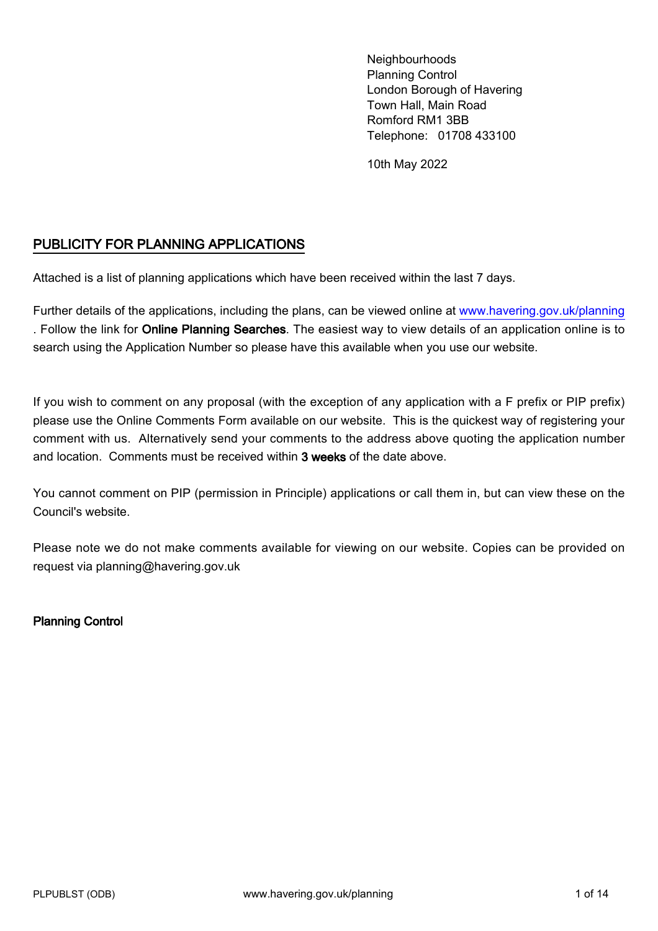Neighbourhoods Planning Control London Borough of Havering Town Hall, Main Road Romford RM1 3BB Telephone: 01708 433100

10th May 2022

#### PUBLICITY FOR PLANNING APPLICATIONS

Attached is a list of planning applications which have been received within the last 7 days.

Further details of the applications, including the plans, can be viewed online at<www.havering.gov.uk/planning> . Follow the link for Online Planning Searches. The easiest way to view details of an application online is to search using the Application Number so please have this available when you use our website.

If you wish to comment on any proposal (with the exception of any application with a F prefix or PIP prefix) please use the Online Comments Form available on our website. This is the quickest way of registering your comment with us. Alternatively send your comments to the address above quoting the application number and location. Comments must be received within 3 weeks of the date above.

You cannot comment on PIP (permission in Principle) applications or call them in, but can view these on the Council's website.

Please note we do not make comments available for viewing on our website. Copies can be provided on request via planning@havering.gov.uk

Planning Control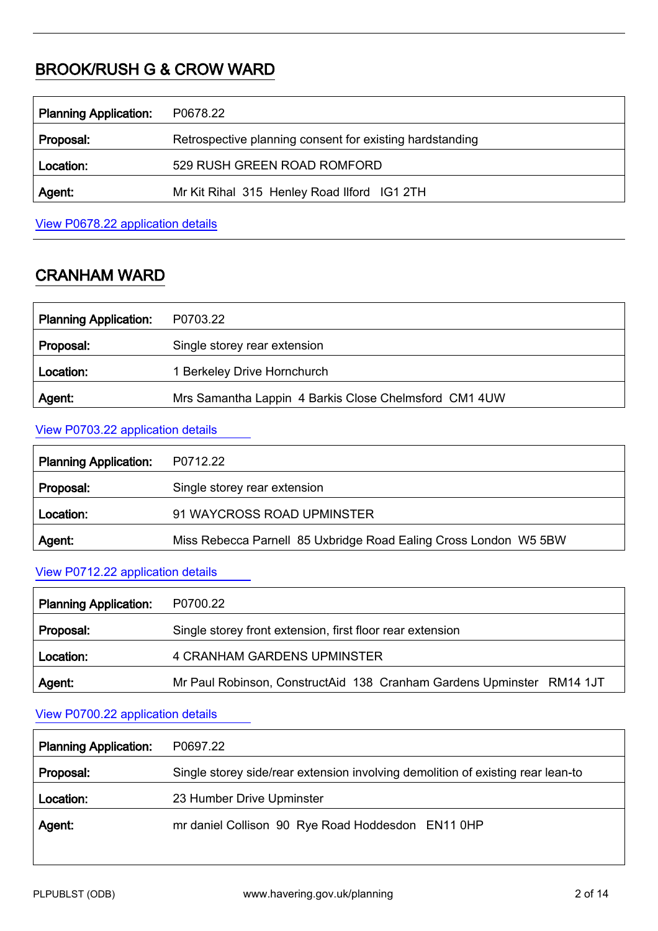# BROOK/RUSH G & CROW WARD

| <b>Planning Application:</b> | P0678.22                                                 |
|------------------------------|----------------------------------------------------------|
| Proposal:                    | Retrospective planning consent for existing hardstanding |
| Location:                    | 529 RUSH GREEN ROAD ROMFORD                              |
| Agent:                       | Mr Kit Rihal 315 Henley Road Ilford IG1 2TH              |
|                              |                                                          |

View P0678.22 [application details](http://development.havering.gov.uk/OcellaWeb/planningDetails?reference=P0678.22&from=planningSearch)

# CRANHAM WARD

| <b>Planning Application:</b> | P0703.22                                              |
|------------------------------|-------------------------------------------------------|
| Proposal:                    | Single storey rear extension                          |
| Location:                    | 1 Berkeley Drive Hornchurch                           |
| Agent:                       | Mrs Samantha Lappin 4 Barkis Close Chelmsford CM1 4UW |

#### View P0703.22 [application details](http://development.havering.gov.uk/OcellaWeb/planningDetails?reference=P0703.22&from=planningSearch)

| <b>Planning Application:</b> | P0712.22                                                         |
|------------------------------|------------------------------------------------------------------|
| Proposal:                    | Single storey rear extension                                     |
| Location:                    | 91 WAYCROSS ROAD UPMINSTER                                       |
| Agent:                       | Miss Rebecca Parnell 85 Uxbridge Road Ealing Cross London W5 5BW |

#### View P0712.22 [application details](http://development.havering.gov.uk/OcellaWeb/planningDetails?reference=P0712.22&from=planningSearch)

| <b>Planning Application:</b> | P0700.22                                                              |
|------------------------------|-----------------------------------------------------------------------|
| Proposal:                    | Single storey front extension, first floor rear extension             |
| Location:                    | 4 CRANHAM GARDENS UPMINSTER                                           |
| Agent:                       | Mr Paul Robinson, ConstructAid 138 Cranham Gardens Upminster RM14 1JT |

# View P0700.22 [application details](http://development.havering.gov.uk/OcellaWeb/planningDetails?reference=P0700.22&from=planningSearch)

| <b>Planning Application:</b> | P0697.22                                                                        |
|------------------------------|---------------------------------------------------------------------------------|
| Proposal:                    | Single storey side/rear extension involving demolition of existing rear lean-to |
| Location:                    | 23 Humber Drive Upminster                                                       |
| Agent:                       | mr daniel Collison 90 Rye Road Hoddesdon EN11 0HP                               |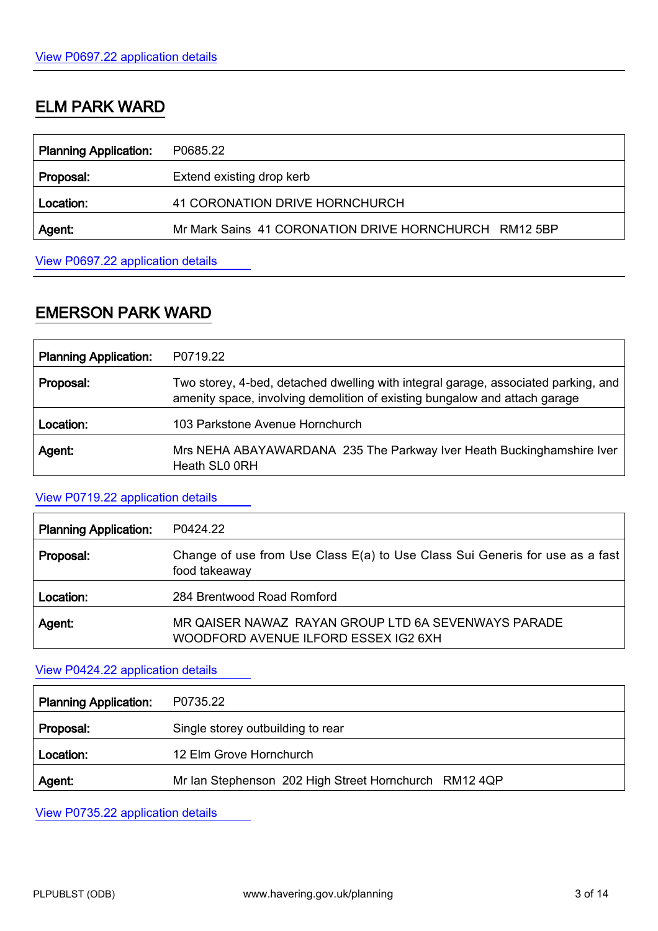## ELM PARK WARD

| <b>Planning Application:</b> | P0685.22                                              |
|------------------------------|-------------------------------------------------------|
| Proposal:                    | Extend existing drop kerb                             |
| Location:                    | 41 CORONATION DRIVE HORNCHURCH                        |
| Agent:                       | Mr Mark Sains 41 CORONATION DRIVE HORNCHURCH RM12 5BP |
|                              |                                                       |

View P0697.22 [application details](http://development.havering.gov.uk/OcellaWeb/planningDetails?reference=P0685.22&from=planningSearch)

### EMERSON PARK WARD

| <b>Planning Application:</b> | P0719.22                                                                                                                                                         |
|------------------------------|------------------------------------------------------------------------------------------------------------------------------------------------------------------|
| Proposal:                    | Two storey, 4-bed, detached dwelling with integral garage, associated parking, and<br>amenity space, involving demolition of existing bungalow and attach garage |
| Location:                    | 103 Parkstone Avenue Hornchurch                                                                                                                                  |
| Agent:                       | Mrs NEHA ABAYAWARDANA 235 The Parkway Iver Heath Buckinghamshire Iver<br>Heath SL0 0RH                                                                           |

#### View P0719.22 [application details](http://development.havering.gov.uk/OcellaWeb/planningDetails?reference=P0719.22&from=planningSearch)

| <b>Planning Application:</b> | P0424.22                                                                                      |
|------------------------------|-----------------------------------------------------------------------------------------------|
| Proposal:                    | Change of use from Use Class E(a) to Use Class Sui Generis for use as a fast<br>food takeaway |
| Location:                    | 284 Brentwood Road Romford                                                                    |
| Agent.                       | MR QAISER NAWAZ RAYAN GROUP LTD 6A SEVENWAYS PARADE<br>WOODFORD AVENUE ILFORD ESSEX IG2 6XH   |

#### View P0424.22 [application details](http://development.havering.gov.uk/OcellaWeb/planningDetails?reference=P0424.22&from=planningSearch)

| <b>Planning Application:</b> | P0735.22                                              |
|------------------------------|-------------------------------------------------------|
| Proposal:                    | Single storey outbuilding to rear                     |
| Location:                    | 12 Elm Grove Hornchurch                               |
| Agent:                       | Mr Ian Stephenson 202 High Street Hornchurch RM12 4QP |

View P0735.22 [application details](http://development.havering.gov.uk/OcellaWeb/planningDetails?reference=P0735.22&from=planningSearch)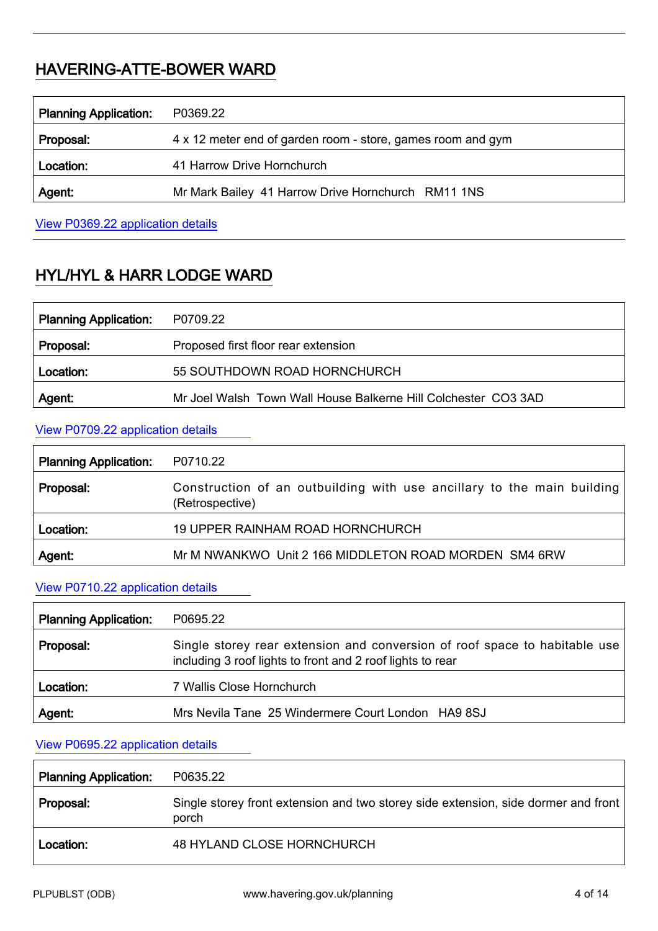## HAVERING-ATTE-BOWER WARD

| <b>Planning Application:</b> | P0369.22                                                    |
|------------------------------|-------------------------------------------------------------|
| Proposal:                    | 4 x 12 meter end of garden room - store, games room and gym |
| Location:                    | 41 Harrow Drive Hornchurch                                  |
| Agent:                       | Mr Mark Bailey 41 Harrow Drive Hornchurch RM11 1NS          |
|                              |                                                             |

View P0369.22 [application details](http://development.havering.gov.uk/OcellaWeb/planningDetails?reference=P0369.22&from=planningSearch)

# HYL/HYL & HARR LODGE WARD

| <b>Planning Application:</b> | P0709.22                                                       |
|------------------------------|----------------------------------------------------------------|
| Proposal:                    | Proposed first floor rear extension                            |
| Location:                    | 55 SOUTHDOWN ROAD HORNCHURCH                                   |
| Agent:                       | Mr Joel Walsh Town Wall House Balkerne Hill Colchester CO3 3AD |

#### View P0709.22 [application details](http://development.havering.gov.uk/OcellaWeb/planningDetails?reference=P0709.22&from=planningSearch)

| <b>Planning Application:</b> | P0710.22                                                                                  |
|------------------------------|-------------------------------------------------------------------------------------------|
| Proposal:                    | Construction of an outbuilding with use ancillary to the main building<br>(Retrospective) |
| Location:                    | 19 UPPER RAINHAM ROAD HORNCHURCH                                                          |
| Agent:                       | Mr M NWANKWO Unit 2 166 MIDDLETON ROAD MORDEN SM4 6RW                                     |

#### View P0710.22 [application details](http://development.havering.gov.uk/OcellaWeb/planningDetails?reference=P0710.22&from=planningSearch)

| <b>Planning Application:</b> | P0695.22                                                                                                                                 |
|------------------------------|------------------------------------------------------------------------------------------------------------------------------------------|
| Proposal:                    | Single storey rear extension and conversion of roof space to habitable use<br>including 3 roof lights to front and 2 roof lights to rear |
| Location:                    | 7 Wallis Close Hornchurch                                                                                                                |
| Agent:                       | Mrs Nevila Tane 25 Windermere Court London HA9 8SJ                                                                                       |

#### View P0695.22 [application details](http://development.havering.gov.uk/OcellaWeb/planningDetails?reference=P0695.22&from=planningSearch)

| <b>Planning Application:</b> | P0635.22                                                                                    |
|------------------------------|---------------------------------------------------------------------------------------------|
| Proposal:                    | Single storey front extension and two storey side extension, side dormer and front<br>porch |
| Location:                    | 48 HYLAND CLOSE HORNCHURCH                                                                  |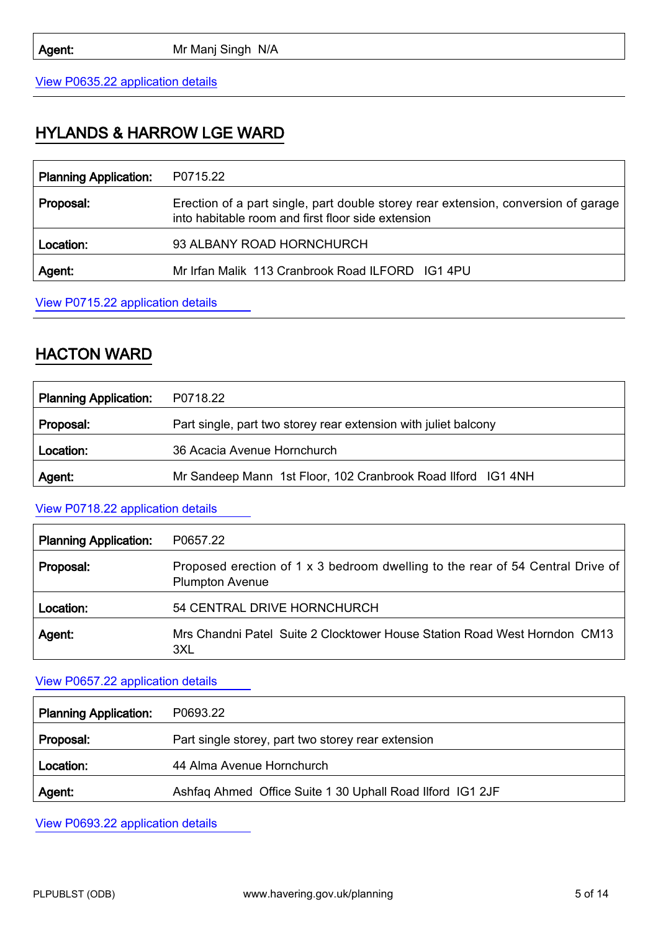View P0635.22 [application details](http://development.havering.gov.uk/OcellaWeb/planningDetails?reference=P0635.22&from=planningSearch)

### HYLANDS & HARROW LGE WARD

| <b>Planning Application:</b> | P0715.22                                                                                                                                 |
|------------------------------|------------------------------------------------------------------------------------------------------------------------------------------|
| Proposal:                    | Erection of a part single, part double storey rear extension, conversion of garage<br>into habitable room and first floor side extension |
| Location:                    | 93 ALBANY ROAD HORNCHURCH                                                                                                                |
| Agent:                       | Mr Irfan Malik 113 Cranbrook Road ILFORD IG1 4PU                                                                                         |

View P0715.22 [application details](http://development.havering.gov.uk/OcellaWeb/planningDetails?reference=P0715.22&from=planningSearch)

### HACTON WARD

| <b>Planning Application:</b> | P0718.22                                                        |
|------------------------------|-----------------------------------------------------------------|
| Proposal:                    | Part single, part two storey rear extension with juliet balcony |
| Location:                    | 36 Acacia Avenue Hornchurch                                     |
| Agent:                       | Mr Sandeep Mann 1st Floor, 102 Cranbrook Road Ilford IG1 4NH    |

#### View P0718.22 [application details](http://development.havering.gov.uk/OcellaWeb/planningDetails?reference=P0718.22&from=planningSearch)

| <b>Planning Application:</b> | P0657.22                                                                                                 |
|------------------------------|----------------------------------------------------------------------------------------------------------|
| Proposal:                    | Proposed erection of 1 x 3 bedroom dwelling to the rear of 54 Central Drive of<br><b>Plumpton Avenue</b> |
| Location:                    | 54 CENTRAL DRIVE HORNCHURCH                                                                              |
| Agent:                       | Mrs Chandni Patel Suite 2 Clocktower House Station Road West Horndon CM13<br>3XL                         |

#### View P0657.22 [application details](http://development.havering.gov.uk/OcellaWeb/planningDetails?reference=P0657.22&from=planningSearch)

| <b>Planning Application:</b> | P0693.22                                                  |
|------------------------------|-----------------------------------------------------------|
| Proposal:                    | Part single storey, part two storey rear extension        |
| Location:                    | 44 Alma Avenue Hornchurch                                 |
| Agent:                       | Ashfaq Ahmed Office Suite 1 30 Uphall Road Ilford IG1 2JF |

View P0693.22 [application details](http://development.havering.gov.uk/OcellaWeb/planningDetails?reference=P0693.22&from=planningSearch)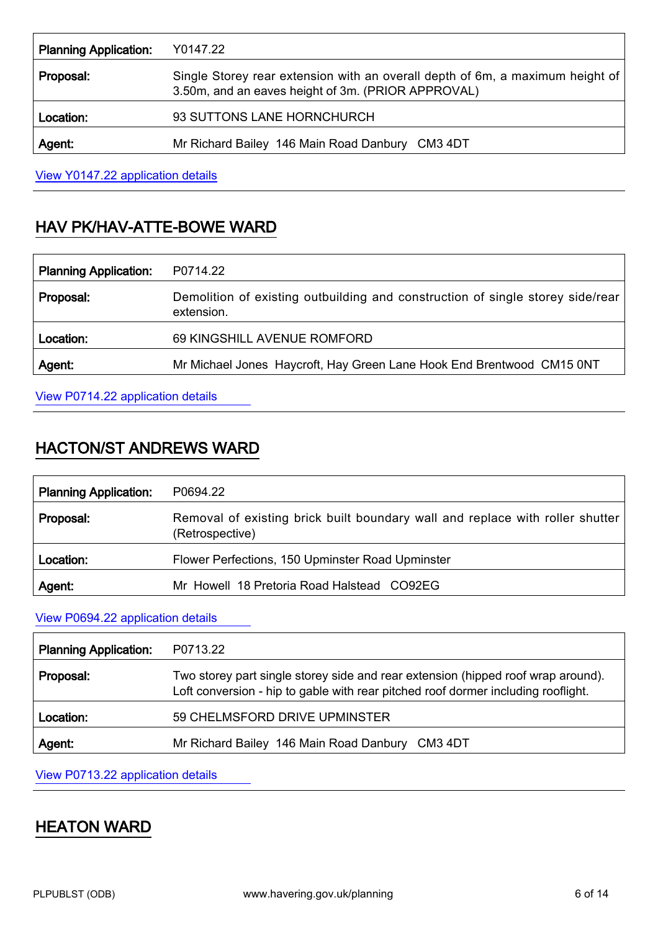| <b>Planning Application:</b> | Y0147.22                                                                                                                            |
|------------------------------|-------------------------------------------------------------------------------------------------------------------------------------|
| Proposal:                    | Single Storey rear extension with an overall depth of 6m, a maximum height of<br>3.50m, and an eaves height of 3m. (PRIOR APPROVAL) |
| Location:                    | 93 SUTTONS LANE HORNCHURCH                                                                                                          |
| Agent:                       | Mr Richard Bailey 146 Main Road Danbury CM3 4DT                                                                                     |

View Y0147.22 [application details](http://development.havering.gov.uk/OcellaWeb/planningDetails?reference=Y0147.22&from=planningSearch)

# HAV PK/HAV-ATTE-BOWE WARD

| <b>Planning Application:</b> | P0714.22                                                                                     |
|------------------------------|----------------------------------------------------------------------------------------------|
| Proposal:                    | Demolition of existing outbuilding and construction of single storey side/rear<br>extension. |
| Location:                    | 69 KINGSHILL AVENUE ROMFORD                                                                  |
| Agent:                       | Mr Michael Jones Haycroft, Hay Green Lane Hook End Brentwood CM15 0NT                        |
|                              |                                                                                              |

View P0714.22 [application details](http://development.havering.gov.uk/OcellaWeb/planningDetails?reference=P0714.22&from=planningSearch)

## HACTON/ST ANDREWS WARD

| <b>Planning Application:</b> | P0694.22                                                                                         |
|------------------------------|--------------------------------------------------------------------------------------------------|
| Proposal:                    | Removal of existing brick built boundary wall and replace with roller shutter<br>(Retrospective) |
| Location:                    | Flower Perfections, 150 Upminster Road Upminster                                                 |
| Agent.                       | Mr Howell 18 Pretoria Road Halstead CO92EG                                                       |

View P0694.22 [application details](http://development.havering.gov.uk/OcellaWeb/planningDetails?reference=P0694.22&from=planningSearch)

| <b>Planning Application:</b> | P0713.22                                                                                                                                                              |
|------------------------------|-----------------------------------------------------------------------------------------------------------------------------------------------------------------------|
| Proposal:                    | Two storey part single storey side and rear extension (hipped roof wrap around).<br>Loft conversion - hip to gable with rear pitched roof dormer including rooflight. |
| Location:                    | 59 CHELMSFORD DRIVE UPMINSTER                                                                                                                                         |
| Agent:                       | Mr Richard Bailey 146 Main Road Danbury CM3 4DT                                                                                                                       |

View P0713.22 [application details](http://development.havering.gov.uk/OcellaWeb/planningDetails?reference=P0713.22&from=planningSearch)

### HEATON WARD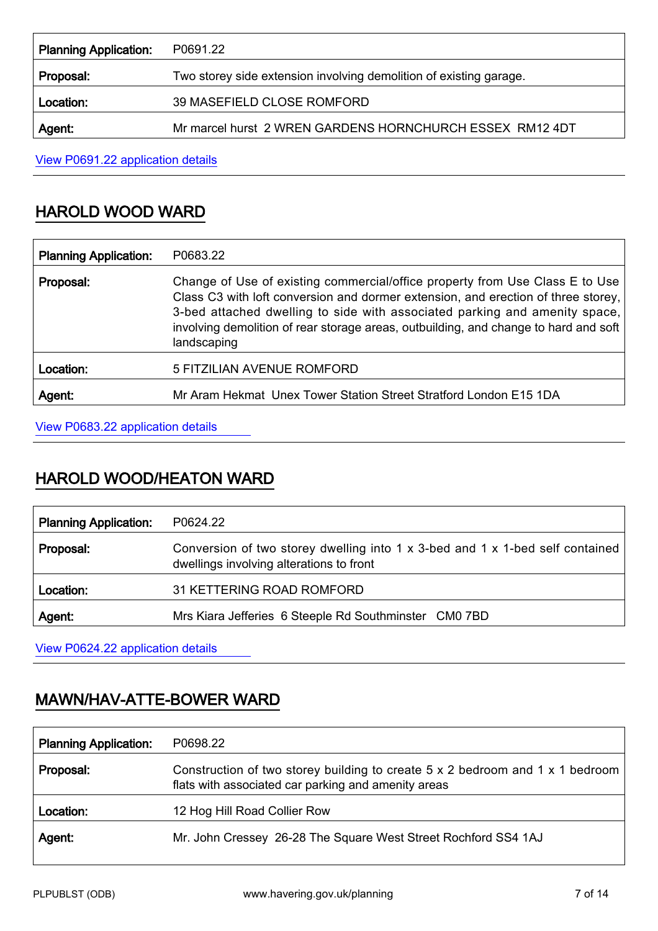| <b>Planning Application:</b> | P0691.22                                                           |
|------------------------------|--------------------------------------------------------------------|
| Proposal:                    | Two storey side extension involving demolition of existing garage. |
| Location:                    | 39 MASEFIELD CLOSE ROMFORD                                         |
| Agent:                       | Mr marcel hurst 2 WREN GARDENS HORNCHURCH ESSEX RM12 4DT           |

View P0691.22 [application details](http://development.havering.gov.uk/OcellaWeb/planningDetails?reference=P0691.22&from=planningSearch)

### HAROLD WOOD WARD

| <b>Planning Application:</b> | P0683.22                                                                                                                                                                                                                                                                                                                                               |
|------------------------------|--------------------------------------------------------------------------------------------------------------------------------------------------------------------------------------------------------------------------------------------------------------------------------------------------------------------------------------------------------|
| Proposal:                    | Change of Use of existing commercial/office property from Use Class E to Use<br>Class C3 with loft conversion and dormer extension, and erection of three storey,<br>3-bed attached dwelling to side with associated parking and amenity space,<br>involving demolition of rear storage areas, outbuilding, and change to hard and soft<br>landscaping |
| Location:                    | 5 FITZILIAN AVENUE ROMFORD                                                                                                                                                                                                                                                                                                                             |
| Agent:                       | Mr Aram Hekmat Unex Tower Station Street Stratford London E15 1DA                                                                                                                                                                                                                                                                                      |

View P0683.22 [application details](http://development.havering.gov.uk/OcellaWeb/planningDetails?reference=P0683.22&from=planningSearch)

### HAROLD WOOD/HEATON WARD

| <b>Planning Application:</b> | P0624.22                                                                                                                  |
|------------------------------|---------------------------------------------------------------------------------------------------------------------------|
| Proposal:                    | Conversion of two storey dwelling into 1 x 3-bed and 1 x 1-bed self contained<br>dwellings involving alterations to front |
| Location:                    | 31 KETTERING ROAD ROMFORD                                                                                                 |
| Agent:                       | Mrs Kiara Jefferies 6 Steeple Rd Southminster CM0 7BD                                                                     |

View P0624.22 [application details](http://development.havering.gov.uk/OcellaWeb/planningDetails?reference=P0624.22&from=planningSearch)

## MAWN/HAV-ATTE-BOWER WARD

| <b>Planning Application:</b> | P0698.22                                                                                                                             |
|------------------------------|--------------------------------------------------------------------------------------------------------------------------------------|
| Proposal:                    | Construction of two storey building to create 5 x 2 bedroom and 1 x 1 bedroom<br>flats with associated car parking and amenity areas |
| Location:                    | 12 Hog Hill Road Collier Row                                                                                                         |
| Agent:                       | Mr. John Cressey 26-28 The Square West Street Rochford SS4 1AJ                                                                       |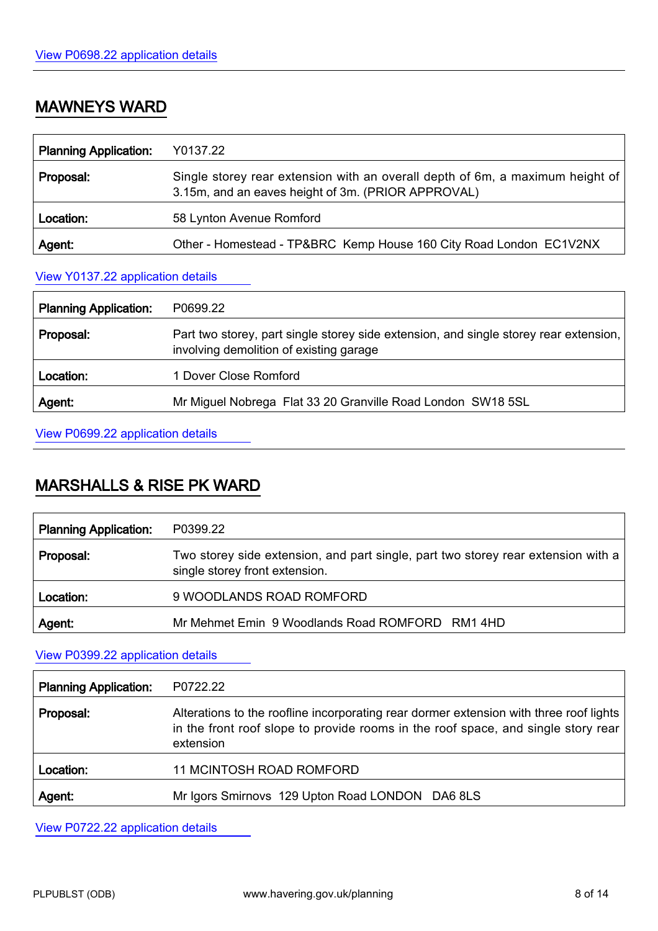## MAWNEYS WARD

| <b>Planning Application:</b> | Y0137.22                                                                                                                            |
|------------------------------|-------------------------------------------------------------------------------------------------------------------------------------|
| Proposal:                    | Single storey rear extension with an overall depth of 6m, a maximum height of<br>3.15m, and an eaves height of 3m. (PRIOR APPROVAL) |
| Location:                    | 58 Lynton Avenue Romford                                                                                                            |
| Agent:                       | Other - Homestead - TP&BRC Kemp House 160 City Road London EC1V2NX                                                                  |

#### View Y0137.22 [application details](http://development.havering.gov.uk/OcellaWeb/planningDetails?reference=Y0137.22&from=planningSearch)

| <b>Planning Application:</b> | P0699.22                                                                                                                           |
|------------------------------|------------------------------------------------------------------------------------------------------------------------------------|
| Proposal:                    | Part two storey, part single storey side extension, and single storey rear extension,  <br>involving demolition of existing garage |
| Location:                    | 1 Dover Close Romford                                                                                                              |
| Agent:                       | Mr Miguel Nobrega Flat 33 20 Granville Road London SW18 5SL                                                                        |

View P0699.22 [application details](http://development.havering.gov.uk/OcellaWeb/planningDetails?reference=P0699.22&from=planningSearch)

### MARSHALLS & RISE PK WARD

| <b>Planning Application:</b> | P0399.22                                                                                                            |
|------------------------------|---------------------------------------------------------------------------------------------------------------------|
| Proposal:                    | Two storey side extension, and part single, part two storey rear extension with a<br>single storey front extension. |
| Location:                    | 9 WOODLANDS ROAD ROMFORD                                                                                            |
| Agent.                       | Mr Mehmet Emin 9 Woodlands Road ROMFORD RM1 4HD                                                                     |

View P0399.22 [application details](http://development.havering.gov.uk/OcellaWeb/planningDetails?reference=P0399.22&from=planningSearch)

| <b>Planning Application:</b> | P0722.22                                                                                                                                                                                 |
|------------------------------|------------------------------------------------------------------------------------------------------------------------------------------------------------------------------------------|
| Proposal:                    | Alterations to the roofline incorporating rear dormer extension with three roof lights<br>in the front roof slope to provide rooms in the roof space, and single story rear<br>extension |
| Location:                    | <b>11 MCINTOSH ROAD ROMFORD</b>                                                                                                                                                          |
| Agent:                       | Mr Igors Smirnovs 129 Upton Road LONDON DA6 8LS                                                                                                                                          |

View P0722.22 [application details](http://development.havering.gov.uk/OcellaWeb/planningDetails?reference=P0722.22&from=planningSearch)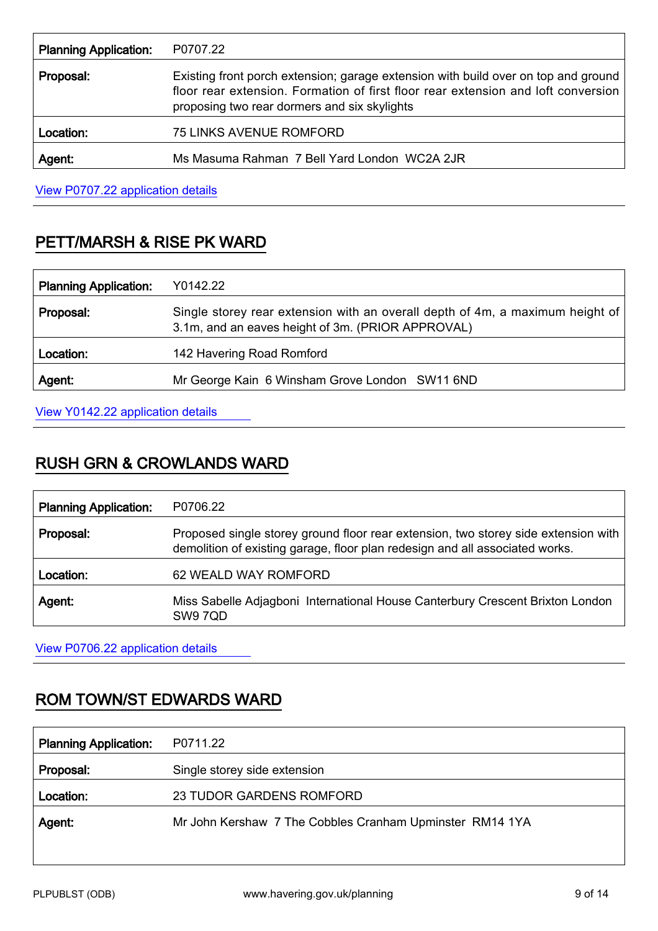| <b>Planning Application:</b> | P0707.22                                                                                                                                                                                                                |
|------------------------------|-------------------------------------------------------------------------------------------------------------------------------------------------------------------------------------------------------------------------|
| Proposal:                    | Existing front porch extension; garage extension with build over on top and ground<br>floor rear extension. Formation of first floor rear extension and loft conversion<br>proposing two rear dormers and six skylights |
| Location:                    | <b>75 LINKS AVENUE ROMFORD</b>                                                                                                                                                                                          |
| Agent:                       | Ms Masuma Rahman 7 Bell Yard London WC2A 2JR                                                                                                                                                                            |

View P0707.22 [application details](http://development.havering.gov.uk/OcellaWeb/planningDetails?reference=P0707.22&from=planningSearch)

# PETT/MARSH & RISE PK WARD

| <b>Planning Application:</b> | Y0142.22                                                                                                                           |
|------------------------------|------------------------------------------------------------------------------------------------------------------------------------|
| Proposal:                    | Single storey rear extension with an overall depth of 4m, a maximum height of<br>3.1m, and an eaves height of 3m. (PRIOR APPROVAL) |
| Location:                    | 142 Havering Road Romford                                                                                                          |
| Agent:                       | Mr George Kain 6 Winsham Grove London SW11 6ND                                                                                     |

View Y0142.22 [application details](http://development.havering.gov.uk/OcellaWeb/planningDetails?reference=Y0142.22&from=planningSearch)

### RUSH GRN & CROWLANDS WARD

| <b>Planning Application:</b> | P0706.22                                                                                                                                                           |
|------------------------------|--------------------------------------------------------------------------------------------------------------------------------------------------------------------|
| Proposal:                    | Proposed single storey ground floor rear extension, two storey side extension with<br>demolition of existing garage, floor plan redesign and all associated works. |
| Location:                    | 62 WEALD WAY ROMFORD                                                                                                                                               |
| Agent:                       | Miss Sabelle Adjagboni International House Canterbury Crescent Brixton London<br>SW97QD                                                                            |

View P0706.22 [application details](http://development.havering.gov.uk/OcellaWeb/planningDetails?reference=P0706.22&from=planningSearch)

## ROM TOWN/ST EDWARDS WARD

| <b>Planning Application:</b> | P0711.22                                                 |
|------------------------------|----------------------------------------------------------|
| Proposal:                    | Single storey side extension                             |
| Location:                    | 23 TUDOR GARDENS ROMFORD                                 |
| Agent:                       | Mr John Kershaw 7 The Cobbles Cranham Upminster RM14 1YA |
|                              |                                                          |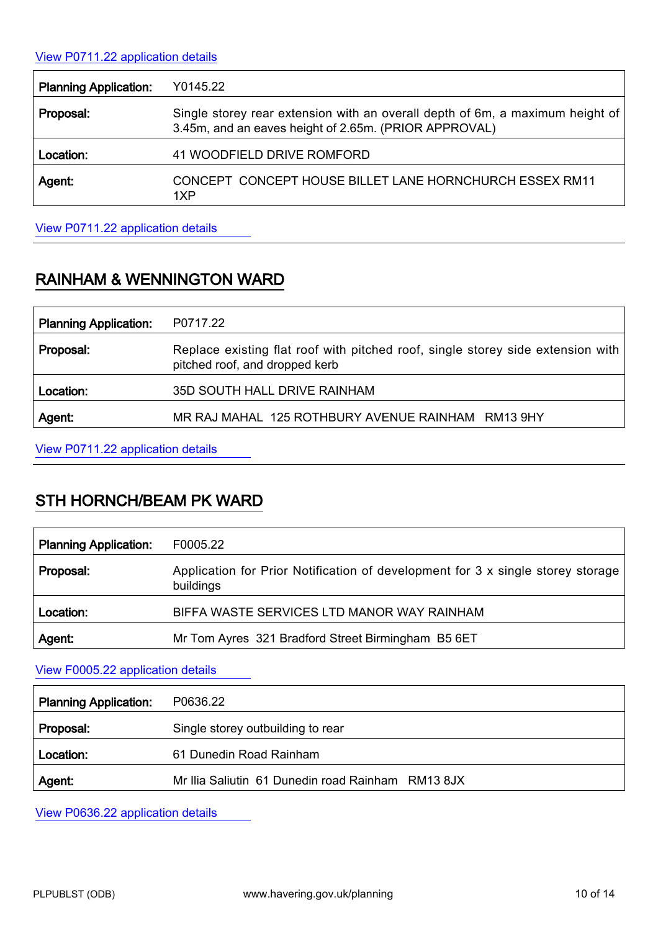#### View P0711.22 [application details](http://development.havering.gov.uk/OcellaWeb/planningDetails?reference=P0711.22&from=planningSearch)

| <b>Planning Application:</b> | Y0145.22                                                                                                                               |
|------------------------------|----------------------------------------------------------------------------------------------------------------------------------------|
| Proposal:                    | Single storey rear extension with an overall depth of 6m, a maximum height of<br>3.45m, and an eaves height of 2.65m. (PRIOR APPROVAL) |
| Location:                    | 41 WOODFIELD DRIVE ROMFORD                                                                                                             |
| Agent:                       | CONCEPT CONCEPT HOUSE BILLET LANE HORNCHURCH ESSEX RM11<br>1XP                                                                         |

View P0711.22 [application details](http://development.havering.gov.uk/OcellaWeb/planningDetails?reference=Y0145.22&from=planningSearch) 

# RAINHAM & WENNINGTON WARD

| <b>Planning Application:</b> | P0717.22                                                                                                          |
|------------------------------|-------------------------------------------------------------------------------------------------------------------|
| Proposal:                    | Replace existing flat roof with pitched roof, single storey side extension with<br>pitched roof, and dropped kerb |
| Location:                    | 35D SOUTH HALL DRIVE RAINHAM                                                                                      |
| Agent:                       | MR RAJ MAHAL 125 ROTHBURY AVENUE RAINHAM RM13 9HY                                                                 |

View P0711.22 [application details](http://development.havering.gov.uk/OcellaWeb/planningDetails?reference=P0717.22&from=planningSearch)

# STH HORNCH/BEAM PK WARD

| <b>Planning Application:</b> | F0005.22                                                                                     |
|------------------------------|----------------------------------------------------------------------------------------------|
| Proposal:                    | Application for Prior Notification of development for 3 x single storey storage<br>buildings |
| Location:                    | BIFFA WASTE SERVICES LTD MANOR WAY RAINHAM                                                   |
| Agent:                       | Mr Tom Ayres 321 Bradford Street Birmingham B5 6ET                                           |

View F0005.22 [application details](http://development.havering.gov.uk/OcellaWeb/planningDetails?reference=F0005.22&from=planningSearch) 

| <b>Planning Application:</b> | P0636.22                                          |
|------------------------------|---------------------------------------------------|
| Proposal:                    | Single storey outbuilding to rear                 |
| Location:                    | 61 Dunedin Road Rainham                           |
| Agent:                       | Mr Ilia Saliutin 61 Dunedin road Rainham RM13 8JX |

View P0636.22 [application details](http://development.havering.gov.uk/OcellaWeb/planningDetails?reference=P0636.22&from=planningSearch)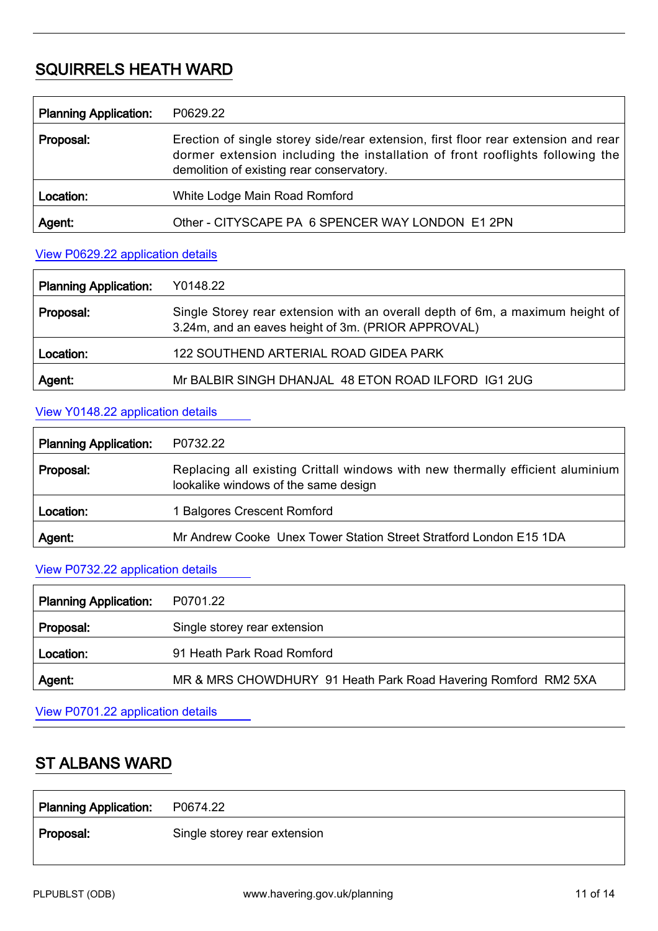### SQUIRRELS HEATH WARD

| <b>Planning Application:</b> | P0629.22                                                                                                                                                                                                         |
|------------------------------|------------------------------------------------------------------------------------------------------------------------------------------------------------------------------------------------------------------|
| Proposal:                    | Erection of single storey side/rear extension, first floor rear extension and rear<br>dormer extension including the installation of front rooflights following the<br>demolition of existing rear conservatory. |
| Location:                    | White Lodge Main Road Romford                                                                                                                                                                                    |
| Agent:                       | Other - CITYSCAPE PA 6 SPENCER WAY LONDON E1 2PN                                                                                                                                                                 |

#### View P0629.22 [application details](http://development.havering.gov.uk/OcellaWeb/planningDetails?reference=P0629.22&from=planningSearch)

| <b>Planning Application:</b> | Y0148.22                                                                                                                            |
|------------------------------|-------------------------------------------------------------------------------------------------------------------------------------|
| Proposal:                    | Single Storey rear extension with an overall depth of 6m, a maximum height of<br>3.24m, and an eaves height of 3m. (PRIOR APPROVAL) |
| Location:                    | 122 SOUTHEND ARTERIAL ROAD GIDEA PARK                                                                                               |
| Agent:                       | Mr BALBIR SINGH DHANJAL 48 ETON ROAD ILFORD IG1 2UG                                                                                 |

### View Y0148.22 [application details](http://development.havering.gov.uk/OcellaWeb/planningDetails?reference=Y0148.22&from=planningSearch)

| <b>Planning Application:</b> | P0732.22                                                                                                               |
|------------------------------|------------------------------------------------------------------------------------------------------------------------|
| Proposal:                    | Replacing all existing Crittall windows with new thermally efficient aluminium<br>lookalike windows of the same design |
| Location:                    | 1 Balgores Crescent Romford                                                                                            |
| Agent:                       | Mr Andrew Cooke Unex Tower Station Street Stratford London E15 1DA                                                     |

#### View P0732.22 [application details](http://development.havering.gov.uk/OcellaWeb/planningDetails?reference=P0732.22&from=planningSearch)

| <b>Planning Application:</b> | P0701.22                                                       |
|------------------------------|----------------------------------------------------------------|
| Proposal:                    | Single storey rear extension                                   |
| Location:                    | 91 Heath Park Road Romford                                     |
| <b>Agent</b>                 | MR & MRS CHOWDHURY 91 Heath Park Road Havering Romford RM2 5XA |

View P0701.22 [application details](http://development.havering.gov.uk/OcellaWeb/planningDetails?reference=P0701.22&from=planningSearch)

### ST ALBANS WARD

| Planning Application: P0674.22 |                              |
|--------------------------------|------------------------------|
| Proposal:                      | Single storey rear extension |
|                                |                              |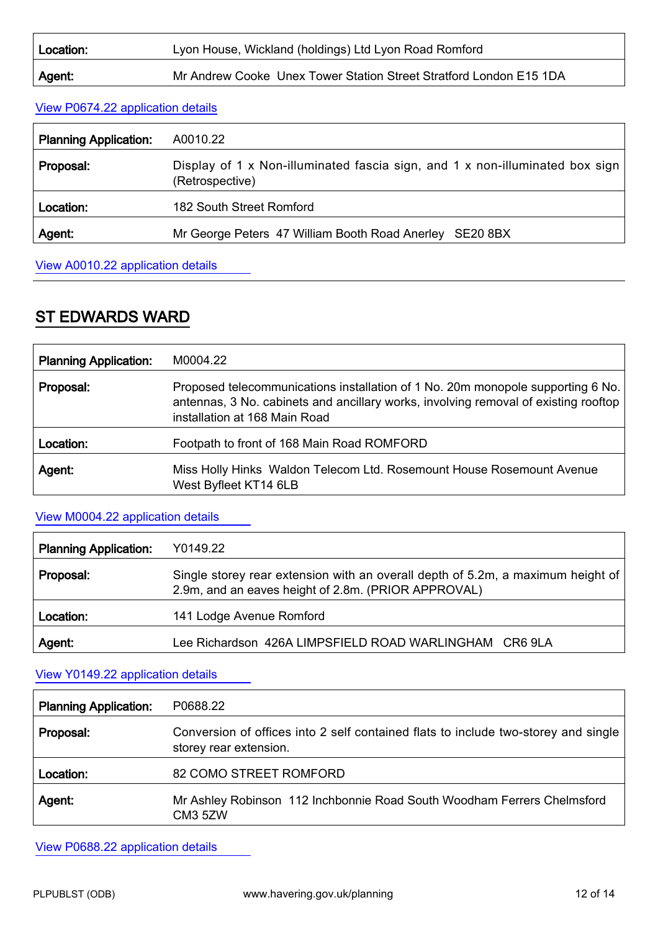| Location: | Lyon House, Wickland (holdings) Ltd Lyon Road Romford              |
|-----------|--------------------------------------------------------------------|
| ∣ Agent:  | Mr Andrew Cooke Unex Tower Station Street Stratford London E15 1DA |

#### View P0674.22 [application details](http://development.havering.gov.uk/OcellaWeb/planningDetails?reference=P0674.22&from=planningSearch)

| <b>Planning Application:</b> | A0010.22                                                                                        |
|------------------------------|-------------------------------------------------------------------------------------------------|
| Proposal:                    | Display of 1 x Non-illuminated fascia sign, and 1 x non-illuminated box sign<br>(Retrospective) |
| Location:                    | 182 South Street Romford                                                                        |
| Agent:                       | Mr George Peters 47 William Booth Road Anerley SE20 8BX                                         |

View A0010.22 [application details](http://development.havering.gov.uk/OcellaWeb/planningDetails?reference=A0010.22&from=planningSearch)

# ST EDWARDS WARD

| <b>Planning Application:</b> | M0004.22                                                                                                                                                                                                |
|------------------------------|---------------------------------------------------------------------------------------------------------------------------------------------------------------------------------------------------------|
| Proposal:                    | Proposed telecommunications installation of 1 No. 20m monopole supporting 6 No.<br>antennas, 3 No. cabinets and ancillary works, involving removal of existing rooftop<br>installation at 168 Main Road |
| Location:                    | Footpath to front of 168 Main Road ROMFORD                                                                                                                                                              |
| Agent:                       | Miss Holly Hinks Waldon Telecom Ltd. Rosemount House Rosemount Avenue<br>West Byfleet KT14 6LB                                                                                                          |

#### View M0004.22 [application details](http://development.havering.gov.uk/OcellaWeb/planningDetails?reference=M0004.22&from=planningSearch)

| <b>Planning Application:</b> | Y0149.22                                                                                                                               |
|------------------------------|----------------------------------------------------------------------------------------------------------------------------------------|
| Proposal:                    | Single storey rear extension with an overall depth of 5.2m, a maximum height of<br>2.9m, and an eaves height of 2.8m. (PRIOR APPROVAL) |
| Location:                    | 141 Lodge Avenue Romford                                                                                                               |
| Agent:                       | Lee Richardson 426A LIMPSFIELD ROAD WARLINGHAM CR6 9LA                                                                                 |

### View Y0149.22 [application details](http://development.havering.gov.uk/OcellaWeb/planningDetails?reference=Y0149.22&from=planningSearch)

| <b>Planning Application:</b> | P0688.22                                                                                                     |
|------------------------------|--------------------------------------------------------------------------------------------------------------|
| Proposal:                    | Conversion of offices into 2 self contained flats to include two-storey and single<br>storey rear extension. |
| Location:                    | 82 COMO STREET ROMFORD                                                                                       |
| Agent:                       | Mr Ashley Robinson 112 Inchbonnie Road South Woodham Ferrers Chelmsford<br>CM <sub>3</sub> 5ZW               |

View P0688.22 [application details](http://development.havering.gov.uk/OcellaWeb/planningDetails?reference=P0688.22&from=planningSearch)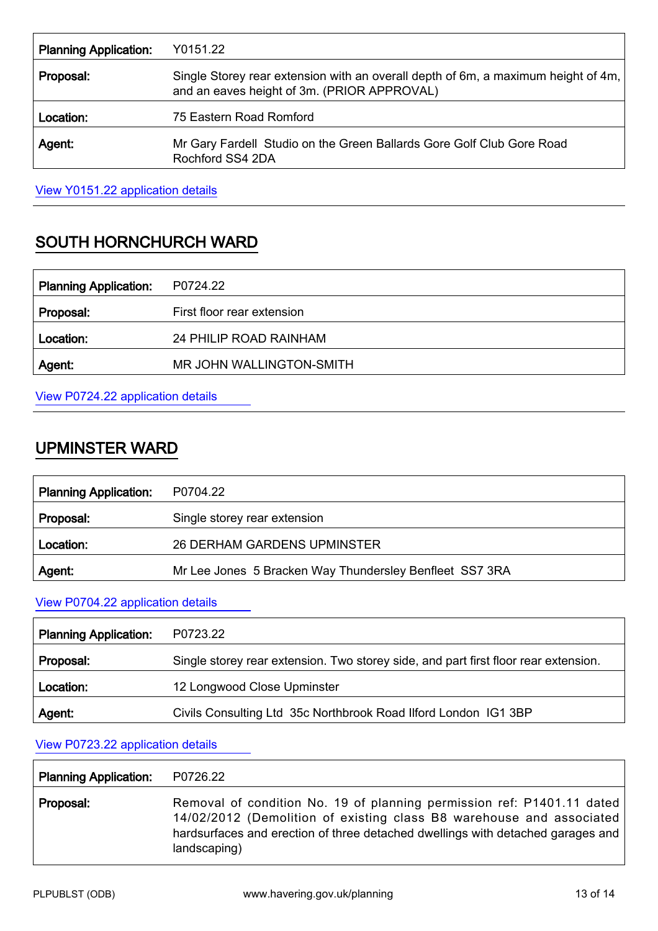| <b>Planning Application:</b> | Y0151.22                                                                                                                         |
|------------------------------|----------------------------------------------------------------------------------------------------------------------------------|
| Proposal:                    | Single Storey rear extension with an overall depth of 6m, a maximum height of 4m,<br>and an eaves height of 3m. (PRIOR APPROVAL) |
| Location:                    | 75 Eastern Road Romford                                                                                                          |
| Agent.                       | Mr Gary Fardell Studio on the Green Ballards Gore Golf Club Gore Road<br>Rochford SS4 2DA                                        |

View Y0151.22 [application details](http://development.havering.gov.uk/OcellaWeb/planningDetails?reference=Y0151.22&from=planningSearch)

# SOUTH HORNCHURCH WARD

| <b>Planning Application:</b> | P0724.22                   |
|------------------------------|----------------------------|
| Proposal:                    | First floor rear extension |
| Location:                    | 24 PHILIP ROAD RAINHAM     |
| Agent:                       | MR JOHN WALLINGTON-SMITH   |
|                              |                            |

View P0724.22 [application details](http://development.havering.gov.uk/OcellaWeb/planningDetails?reference=P0724.22&from=planningSearch)

# UPMINSTER WARD

| <b>Planning Application:</b> | P0704.22                                                |
|------------------------------|---------------------------------------------------------|
| Proposal:                    | Single storey rear extension                            |
| Location:                    | <b>26 DERHAM GARDENS UPMINSTER</b>                      |
| Agent:                       | Mr Lee Jones 5 Bracken Way Thundersley Benfleet SS7 3RA |

### View P0704.22 [application details](http://development.havering.gov.uk/OcellaWeb/planningDetails?reference=P0704.22&from=planningSearch)

| <b>Planning Application:</b> | P0723.22                                                                            |
|------------------------------|-------------------------------------------------------------------------------------|
| Proposal:                    | Single storey rear extension. Two storey side, and part first floor rear extension. |
| Location:                    | 12 Longwood Close Upminster                                                         |
| Agent:                       | Civils Consulting Ltd 35c Northbrook Road Ilford London IG1 3BP                     |

#### View P0723.22 [application details](http://development.havering.gov.uk/OcellaWeb/planningDetails?reference=P0723.22&from=planningSearch)

| <b>Planning Application:</b> | P0726.22                                                                                                                                                                                                                                          |
|------------------------------|---------------------------------------------------------------------------------------------------------------------------------------------------------------------------------------------------------------------------------------------------|
| Proposal:                    | Removal of condition No. 19 of planning permission ref: P1401.11 dated<br>14/02/2012 (Demolition of existing class B8 warehouse and associated<br>hardsurfaces and erection of three detached dwellings with detached garages and<br>landscaping) |